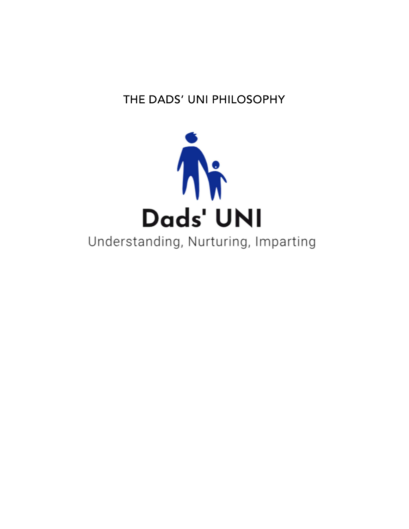# THE DADS' UNI PHILOSOPHY



# Understanding, Nurturing, Imparting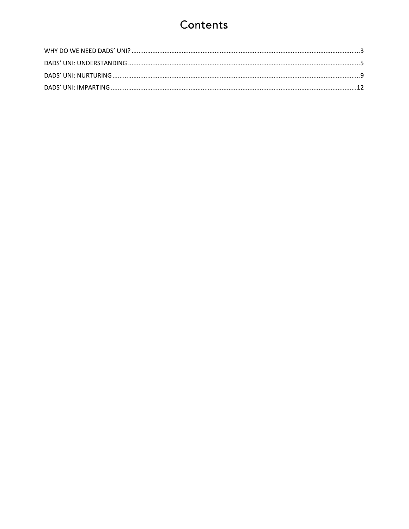# Contents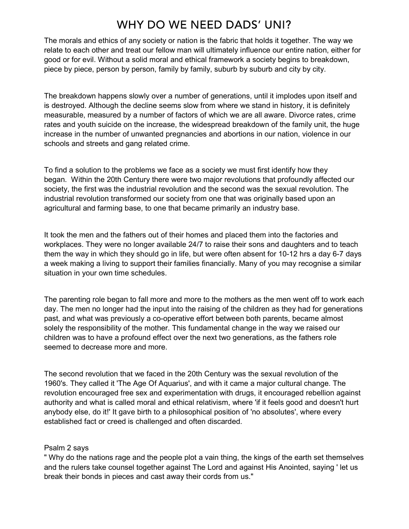### WHY DO WE NEED DADS' UNI?

The morals and ethics of any society or nation is the fabric that holds it together. The way we relate to each other and treat our fellow man will ultimately influence our entire nation, either for good or for evil. Without a solid moral and ethical framework a society begins to breakdown, piece by piece, person by person, family by family, suburb by suburb and city by city.

The breakdown happens slowly over a number of generations, until it implodes upon itself and is destroyed. Although the decline seems slow from where we stand in history, it is definitely measurable, measured by a number of factors of which we are all aware. Divorce rates, crime rates and youth suicide on the increase, the widespread breakdown of the family unit, the huge increase in the number of unwanted pregnancies and abortions in our nation, violence in our schools and streets and gang related crime.

To find a solution to the problems we face as a society we must first identify how they began. Within the 20th Century there were two major revolutions that profoundly affected our society, the first was the industrial revolution and the second was the sexual revolution. The industrial revolution transformed our society from one that was originally based upon an agricultural and farming base, to one that became primarily an industry base.

It took the men and the fathers out of their homes and placed them into the factories and workplaces. They were no longer available 24/7 to raise their sons and daughters and to teach them the way in which they should go in life, but were often absent for 10-12 hrs a day 6-7 days a week making a living to support their families financially. Many of you may recognise a similar situation in your own time schedules.

The parenting role began to fall more and more to the mothers as the men went off to work each day. The men no longer had the input into the raising of the children as they had for generations past, and what was previously a co-operative effort between both parents, became almost solely the responsibility of the mother. This fundamental change in the way we raised our children was to have a profound effect over the next two generations, as the fathers role seemed to decrease more and more.

The second revolution that we faced in the 20th Century was the sexual revolution of the 1960's. They called it 'The Age Of Aquarius', and with it came a major cultural change. The revolution encouraged free sex and experimentation with drugs, it encouraged rebellion against authority and what is called moral and ethical relativism, where 'if it feels good and doesn't hurt anybody else, do it!' It gave birth to a philosophical position of 'no absolutes', where every established fact or creed is challenged and often discarded.

### Psalm 2 says

" Why do the nations rage and the people plot a vain thing, the kings of the earth set themselves and the rulers take counsel together against The Lord and against His Anointed, saying ' let us break their bonds in pieces and cast away their cords from us."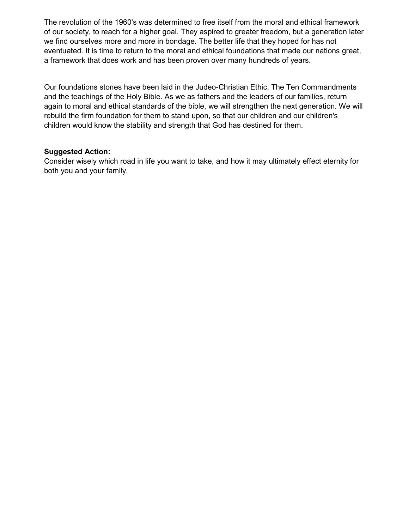The revolution of the 1960's was determined to free itself from the moral and ethical framework of our society, to reach for a higher goal. They aspired to greater freedom, but a generation later we find ourselves more and more in bondage. The better life that they hoped for has not eventuated. It is time to return to the moral and ethical foundations that made our nations great, a framework that does work and has been proven over many hundreds of years.

Our foundations stones have been laid in the Judeo-Christian Ethic, The Ten Commandments and the teachings of the Holy Bible. As we as fathers and the leaders of our families, return again to moral and ethical standards of the bible, we will strengthen the next generation. We will rebuild the firm foundation for them to stand upon, so that our children and our children's children would know the stability and strength that God has destined for them.

### Suggested Action:

Consider wisely which road in life you want to take, and how it may ultimately effect eternity for both you and your family.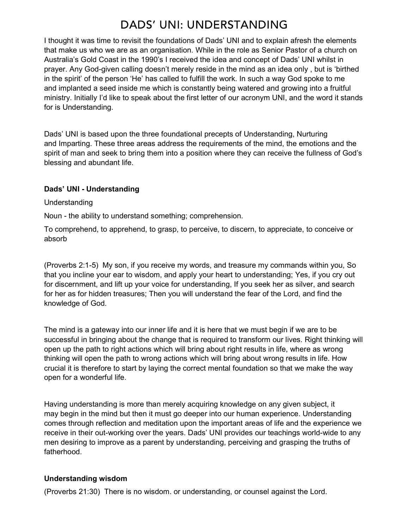### DADS' UNI: UNDERSTANDING

I thought it was time to revisit the foundations of Dads' UNI and to explain afresh the elements that make us who we are as an organisation. While in the role as Senior Pastor of a church on Australia's Gold Coast in the 1990's I received the idea and concept of Dads' UNI whilst in prayer. Any God-given calling doesn't merely reside in the mind as an idea only , but is 'birthed in the spirit' of the person 'He' has called to fulfill the work. In such a way God spoke to me and implanted a seed inside me which is constantly being watered and growing into a fruitful ministry. Initially I'd like to speak about the first letter of our acronym UNI, and the word it stands for is Understanding.

Dads' UNI is based upon the three foundational precepts of Understanding, Nurturing and Imparting. These three areas address the requirements of the mind, the emotions and the spirit of man and seek to bring them into a position where they can receive the fullness of God's blessing and abundant life.

### Dads' UNI - Understanding

#### Understanding

Noun - the ability to understand something; comprehension.

To comprehend, to apprehend, to grasp, to perceive, to discern, to appreciate, to conceive or absorb

(Proverbs 2:1-5) My son, if you receive my words, and treasure my commands within you, So that you incline your ear to wisdom, and apply your heart to understanding; Yes, if you cry out for discernment, and lift up your voice for understanding, If you seek her as silver, and search for her as for hidden treasures; Then you will understand the fear of the Lord, and find the knowledge of God.

The mind is a gateway into our inner life and it is here that we must begin if we are to be successful in bringing about the change that is required to transform our lives. Right thinking will open up the path to right actions which will bring about right results in life, where as wrong thinking will open the path to wrong actions which will bring about wrong results in life. How crucial it is therefore to start by laying the correct mental foundation so that we make the way open for a wonderful life.

Having understanding is more than merely acquiring knowledge on any given subject, it may begin in the mind but then it must go deeper into our human experience. Understanding comes through reflection and meditation upon the important areas of life and the experience we receive in their out-working over the years. Dads' UNI provides our teachings world-wide to any men desiring to improve as a parent by understanding, perceiving and grasping the truths of fatherhood.

### Understanding wisdom

(Proverbs 21:30) There is no wisdom. or understanding, or counsel against the Lord.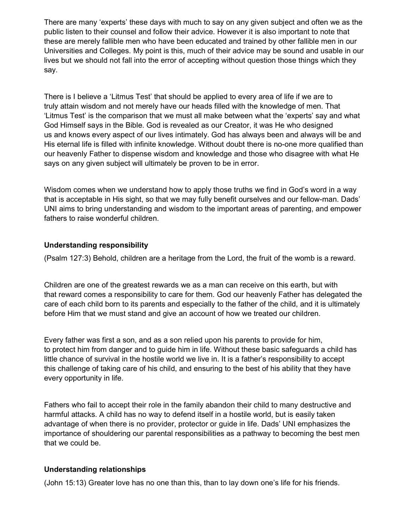There are many 'experts' these days with much to say on any given subject and often we as the public listen to their counsel and follow their advice. However it is also important to note that these are merely fallible men who have been educated and trained by other fallible men in our Universities and Colleges. My point is this, much of their advice may be sound and usable in our lives but we should not fall into the error of accepting without question those things which they say.

There is I believe a 'Litmus Test' that should be applied to every area of life if we are to truly attain wisdom and not merely have our heads filled with the knowledge of men. That 'Litmus Test' is the comparison that we must all make between what the 'experts' say and what God Himself says in the Bible. God is revealed as our Creator, it was He who designed us and knows every aspect of our lives intimately. God has always been and always will be and His eternal life is filled with infinite knowledge. Without doubt there is no-one more qualified than our heavenly Father to dispense wisdom and knowledge and those who disagree with what He says on any given subject will ultimately be proven to be in error.

Wisdom comes when we understand how to apply those truths we find in God's word in a way that is acceptable in His sight, so that we may fully benefit ourselves and our fellow-man. Dads' UNI aims to bring understanding and wisdom to the important areas of parenting, and empower fathers to raise wonderful children.

### Understanding responsibility

(Psalm 127:3) Behold, children are a heritage from the Lord, the fruit of the womb is a reward.

Children are one of the greatest rewards we as a man can receive on this earth, but with that reward comes a responsibility to care for them. God our heavenly Father has delegated the care of each child born to its parents and especially to the father of the child, and it is ultimately before Him that we must stand and give an account of how we treated our children.

Every father was first a son, and as a son relied upon his parents to provide for him, to protect him from danger and to guide him in life. Without these basic safeguards a child has little chance of survival in the hostile world we live in. It is a father's responsibility to accept this challenge of taking care of his child, and ensuring to the best of his ability that they have every opportunity in life.

Fathers who fail to accept their role in the family abandon their child to many destructive and harmful attacks. A child has no way to defend itself in a hostile world, but is easily taken advantage of when there is no provider, protector or guide in life. Dads' UNI emphasizes the importance of shouldering our parental responsibilities as a pathway to becoming the best men that we could be.

### Understanding relationships

(John 15:13) Greater love has no one than this, than to lay down one's life for his friends.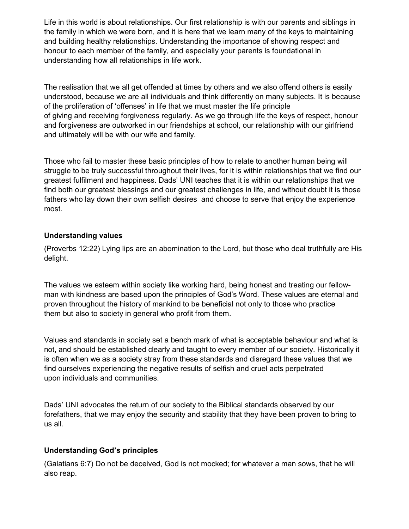Life in this world is about relationships. Our first relationship is with our parents and siblings in the family in which we were born, and it is here that we learn many of the keys to maintaining and building healthy relationships. Understanding the importance of showing respect and honour to each member of the family, and especially your parents is foundational in understanding how all relationships in life work.

The realisation that we all get offended at times by others and we also offend others is easily understood, because we are all individuals and think differently on many subjects. It is because of the proliferation of 'offenses' in life that we must master the life principle of giving and receiving forgiveness regularly. As we go through life the keys of respect, honour and forgiveness are outworked in our friendships at school, our relationship with our girlfriend and ultimately will be with our wife and family.

Those who fail to master these basic principles of how to relate to another human being will struggle to be truly successful throughout their lives, for it is within relationships that we find our greatest fulfilment and happiness. Dads' UNI teaches that it is within our relationships that we find both our greatest blessings and our greatest challenges in life, and without doubt it is those fathers who lay down their own selfish desires and choose to serve that enjoy the experience most.

### Understanding values

(Proverbs 12:22) Lying lips are an abomination to the Lord, but those who deal truthfully are His delight.

The values we esteem within society like working hard, being honest and treating our fellowman with kindness are based upon the principles of God's Word. These values are eternal and proven throughout the history of mankind to be beneficial not only to those who practice them but also to society in general who profit from them.

Values and standards in society set a bench mark of what is acceptable behaviour and what is not, and should be established clearly and taught to every member of our society. Historically it is often when we as a society stray from these standards and disregard these values that we find ourselves experiencing the negative results of selfish and cruel acts perpetrated upon individuals and communities.

Dads' UNI advocates the return of our society to the Biblical standards observed by our forefathers, that we may enjoy the security and stability that they have been proven to bring to us all.

### Understanding God's principles

(Galatians 6:7) Do not be deceived, God is not mocked; for whatever a man sows, that he will also reap.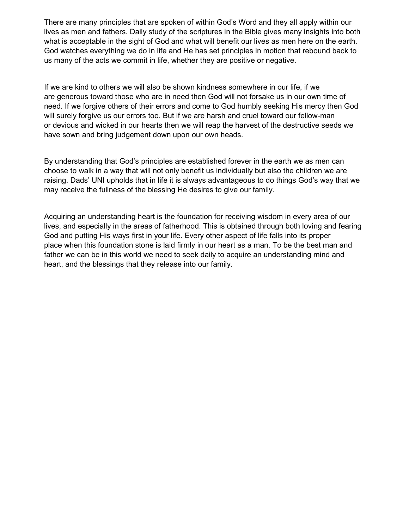There are many principles that are spoken of within God's Word and they all apply within our lives as men and fathers. Daily study of the scriptures in the Bible gives many insights into both what is acceptable in the sight of God and what will benefit our lives as men here on the earth. God watches everything we do in life and He has set principles in motion that rebound back to us many of the acts we commit in life, whether they are positive or negative.

If we are kind to others we will also be shown kindness somewhere in our life, if we are generous toward those who are in need then God will not forsake us in our own time of need. If we forgive others of their errors and come to God humbly seeking His mercy then God will surely forgive us our errors too. But if we are harsh and cruel toward our fellow-man or devious and wicked in our hearts then we will reap the harvest of the destructive seeds we have sown and bring judgement down upon our own heads.

By understanding that God's principles are established forever in the earth we as men can choose to walk in a way that will not only benefit us individually but also the children we are raising. Dads' UNI upholds that in life it is always advantageous to do things God's way that we may receive the fullness of the blessing He desires to give our family.

Acquiring an understanding heart is the foundation for receiving wisdom in every area of our lives, and especially in the areas of fatherhood. This is obtained through both loving and fearing God and putting His ways first in your life. Every other aspect of life falls into its proper place when this foundation stone is laid firmly in our heart as a man. To be the best man and father we can be in this world we need to seek daily to acquire an understanding mind and heart, and the blessings that they release into our family.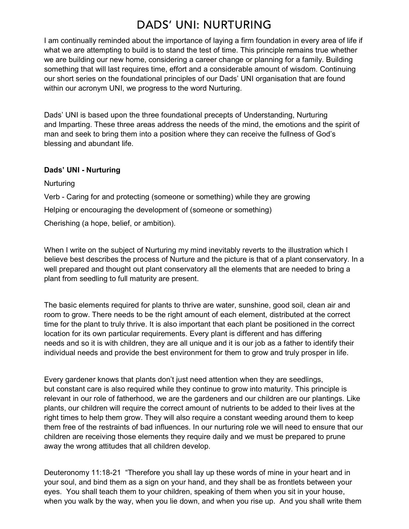### **DADS' UNI: NURTURING**

I am continually reminded about the importance of laying a firm foundation in every area of life if what we are attempting to build is to stand the test of time. This principle remains true whether we are building our new home, considering a career change or planning for a family. Building something that will last requires time, effort and a considerable amount of wisdom. Continuing our short series on the foundational principles of our Dads' UNI organisation that are found within our acronym UNI, we progress to the word Nurturing.

Dads' UNI is based upon the three foundational precepts of Understanding, Nurturing and Imparting. These three areas address the needs of the mind, the emotions and the spirit of man and seek to bring them into a position where they can receive the fullness of God's blessing and abundant life.

### Dads' UNI - Nurturing

**Nurturing** 

Verb - Caring for and protecting (someone or something) while they are growing Helping or encouraging the development of (someone or something)

Cherishing (a hope, belief, or ambition).

When I write on the subject of Nurturing my mind inevitably reverts to the illustration which I believe best describes the process of Nurture and the picture is that of a plant conservatory. In a well prepared and thought out plant conservatory all the elements that are needed to bring a plant from seedling to full maturity are present.

The basic elements required for plants to thrive are water, sunshine, good soil, clean air and room to grow. There needs to be the right amount of each element, distributed at the correct time for the plant to truly thrive. It is also important that each plant be positioned in the correct location for its own particular requirements. Every plant is different and has differing needs and so it is with children, they are all unique and it is our job as a father to identify their individual needs and provide the best environment for them to grow and truly prosper in life.

Every gardener knows that plants don't just need attention when they are seedlings, but constant care is also required while they continue to grow into maturity. This principle is relevant in our role of fatherhood, we are the gardeners and our children are our plantings. Like plants, our children will require the correct amount of nutrients to be added to their lives at the right times to help them grow. They will also require a constant weeding around them to keep them free of the restraints of bad influences. In our nurturing role we will need to ensure that our children are receiving those elements they require daily and we must be prepared to prune away the wrong attitudes that all children develop.

Deuteronomy 11:18-21 "Therefore you shall lay up these words of mine in your heart and in your soul, and bind them as a sign on your hand, and they shall be as frontlets between your eyes. You shall teach them to your children, speaking of them when you sit in your house, when you walk by the way, when you lie down, and when you rise up. And you shall write them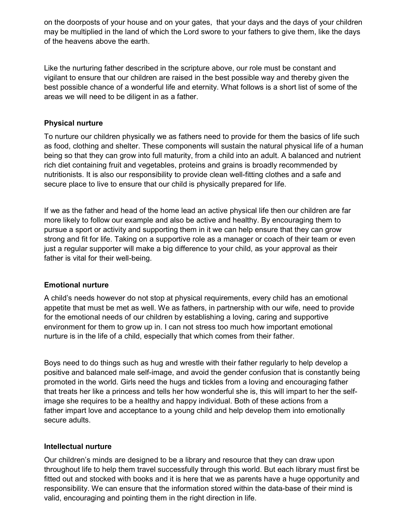on the doorposts of your house and on your gates, that your days and the days of your children may be multiplied in the land of which the Lord swore to your fathers to give them, like the days of the heavens above the earth.

Like the nurturing father described in the scripture above, our role must be constant and vigilant to ensure that our children are raised in the best possible way and thereby given the best possible chance of a wonderful life and eternity. What follows is a short list of some of the areas we will need to be diligent in as a father.

### Physical nurture

To nurture our children physically we as fathers need to provide for them the basics of life such as food, clothing and shelter. These components will sustain the natural physical life of a human being so that they can grow into full maturity, from a child into an adult. A balanced and nutrient rich diet containing fruit and vegetables, proteins and grains is broadly recommended by nutritionists. It is also our responsibility to provide clean well-fitting clothes and a safe and secure place to live to ensure that our child is physically prepared for life.

If we as the father and head of the home lead an active physical life then our children are far more likely to follow our example and also be active and healthy. By encouraging them to pursue a sport or activity and supporting them in it we can help ensure that they can grow strong and fit for life. Taking on a supportive role as a manager or coach of their team or even just a regular supporter will make a big difference to your child, as your approval as their father is vital for their well-being.

### Emotional nurture

A child's needs however do not stop at physical requirements, every child has an emotional appetite that must be met as well. We as fathers, in partnership with our wife, need to provide for the emotional needs of our children by establishing a loving, caring and supportive environment for them to grow up in. I can not stress too much how important emotional nurture is in the life of a child, especially that which comes from their father.

Boys need to do things such as hug and wrestle with their father regularly to help develop a positive and balanced male self-image, and avoid the gender confusion that is constantly being promoted in the world. Girls need the hugs and tickles from a loving and encouraging father that treats her like a princess and tells her how wonderful she is, this will impart to her the selfimage she requires to be a healthy and happy individual. Both of these actions from a father impart love and acceptance to a young child and help develop them into emotionally secure adults.

### Intellectual nurture

Our children's minds are designed to be a library and resource that they can draw upon throughout life to help them travel successfully through this world. But each library must first be fitted out and stocked with books and it is here that we as parents have a huge opportunity and responsibility. We can ensure that the information stored within the data-base of their mind is valid, encouraging and pointing them in the right direction in life.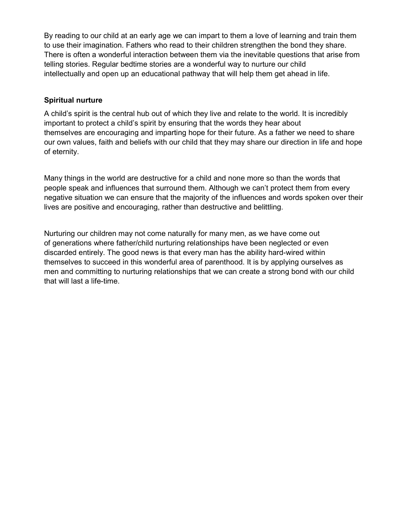By reading to our child at an early age we can impart to them a love of learning and train them to use their imagination. Fathers who read to their children strengthen the bond they share. There is often a wonderful interaction between them via the inevitable questions that arise from telling stories. Regular bedtime stories are a wonderful way to nurture our child intellectually and open up an educational pathway that will help them get ahead in life.

### Spiritual nurture

A child's spirit is the central hub out of which they live and relate to the world. It is incredibly important to protect a child's spirit by ensuring that the words they hear about themselves are encouraging and imparting hope for their future. As a father we need to share our own values, faith and beliefs with our child that they may share our direction in life and hope of eternity.

Many things in the world are destructive for a child and none more so than the words that people speak and influences that surround them. Although we can't protect them from every negative situation we can ensure that the majority of the influences and words spoken over their lives are positive and encouraging, rather than destructive and belittling.

Nurturing our children may not come naturally for many men, as we have come out of generations where father/child nurturing relationships have been neglected or even discarded entirely. The good news is that every man has the ability hard-wired within themselves to succeed in this wonderful area of parenthood. It is by applying ourselves as men and committing to nurturing relationships that we can create a strong bond with our child that will last a life-time.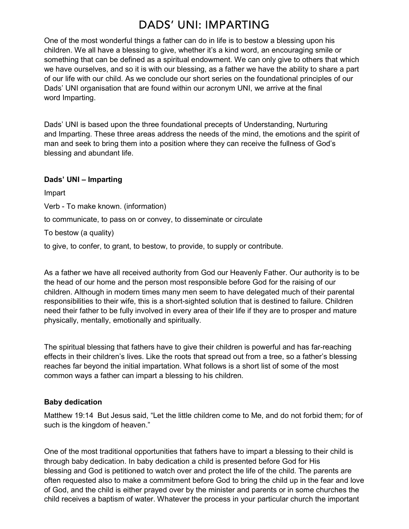### DADS' UNI: IMPARTING

One of the most wonderful things a father can do in life is to bestow a blessing upon his children. We all have a blessing to give, whether it's a kind word, an encouraging smile or something that can be defined as a spiritual endowment. We can only give to others that which we have ourselves, and so it is with our blessing, as a father we have the ability to share a part of our life with our child. As we conclude our short series on the foundational principles of our Dads' UNI organisation that are found within our acronym UNI, we arrive at the final word Imparting.

Dads' UNI is based upon the three foundational precepts of Understanding, Nurturing and Imparting. These three areas address the needs of the mind, the emotions and the spirit of man and seek to bring them into a position where they can receive the fullness of God's blessing and abundant life.

### Dads' UNI – Imparting

Impart Verb - To make known. (information) to communicate, to pass on or convey, to disseminate or circulate To bestow (a quality) to give, to confer, to grant, to bestow, to provide, to supply or contribute.

As a father we have all received authority from God our Heavenly Father. Our authority is to be the head of our home and the person most responsible before God for the raising of our children. Although in modern times many men seem to have delegated much of their parental responsibilities to their wife, this is a short-sighted solution that is destined to failure. Children need their father to be fully involved in every area of their life if they are to prosper and mature physically, mentally, emotionally and spiritually.

The spiritual blessing that fathers have to give their children is powerful and has far-reaching effects in their children's lives. Like the roots that spread out from a tree, so a father's blessing reaches far beyond the initial impartation. What follows is a short list of some of the most common ways a father can impart a blessing to his children.

### Baby dedication

Matthew 19:14 But Jesus said, "Let the little children come to Me, and do not forbid them; for of such is the kingdom of heaven."

One of the most traditional opportunities that fathers have to impart a blessing to their child is through baby dedication. In baby dedication a child is presented before God for His blessing and God is petitioned to watch over and protect the life of the child. The parents are often requested also to make a commitment before God to bring the child up in the fear and love of God, and the child is either prayed over by the minister and parents or in some churches the child receives a baptism of water. Whatever the process in your particular church the important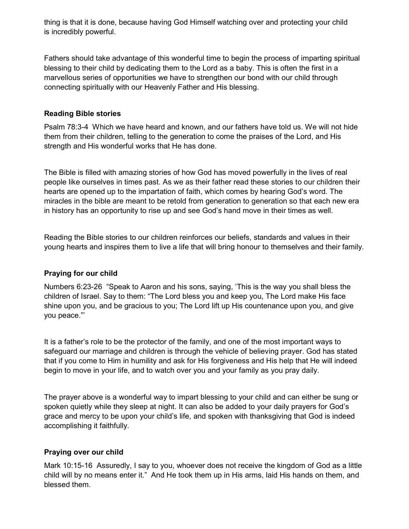thing is that it is done, because having God Himself watching over and protecting your child is incredibly powerful.

Fathers should take advantage of this wonderful time to begin the process of imparting spiritual blessing to their child by dedicating them to the Lord as a baby. This is often the first in a marvellous series of opportunities we have to strengthen our bond with our child through connecting spiritually with our Heavenly Father and His blessing.

### Reading Bible stories

Psalm 78:3-4 Which we have heard and known, and our fathers have told us. We will not hide them from their children, telling to the generation to come the praises of the Lord, and His strength and His wonderful works that He has done.

The Bible is filled with amazing stories of how God has moved powerfully in the lives of real people like ourselves in times past. As we as their father read these stories to our children their hearts are opened up to the impartation of faith, which comes by hearing God's word. The miracles in the bible are meant to be retold from generation to generation so that each new era in history has an opportunity to rise up and see God's hand move in their times as well.

Reading the Bible stories to our children reinforces our beliefs, standards and values in their young hearts and inspires them to live a life that will bring honour to themselves and their family.

### Praying for our child

Numbers 6:23-26 "Speak to Aaron and his sons, saying, 'This is the way you shall bless the children of Israel. Say to them: "The Lord bless you and keep you, The Lord make His face shine upon you, and be gracious to you; The Lord lift up His countenance upon you, and give you peace."'

It is a father's role to be the protector of the family, and one of the most important ways to safeguard our marriage and children is through the vehicle of believing prayer. God has stated that if you come to Him in humility and ask for His forgiveness and His help that He will indeed begin to move in your life, and to watch over you and your family as you pray daily.

The prayer above is a wonderful way to impart blessing to your child and can either be sung or spoken quietly while they sleep at night. It can also be added to your daily prayers for God's grace and mercy to be upon your child's life, and spoken with thanksgiving that God is indeed accomplishing it faithfully.

### Praying over our child

Mark 10:15-16 Assuredly, I say to you, whoever does not receive the kingdom of God as a little child will by no means enter it." And He took them up in His arms, laid His hands on them, and blessed them.